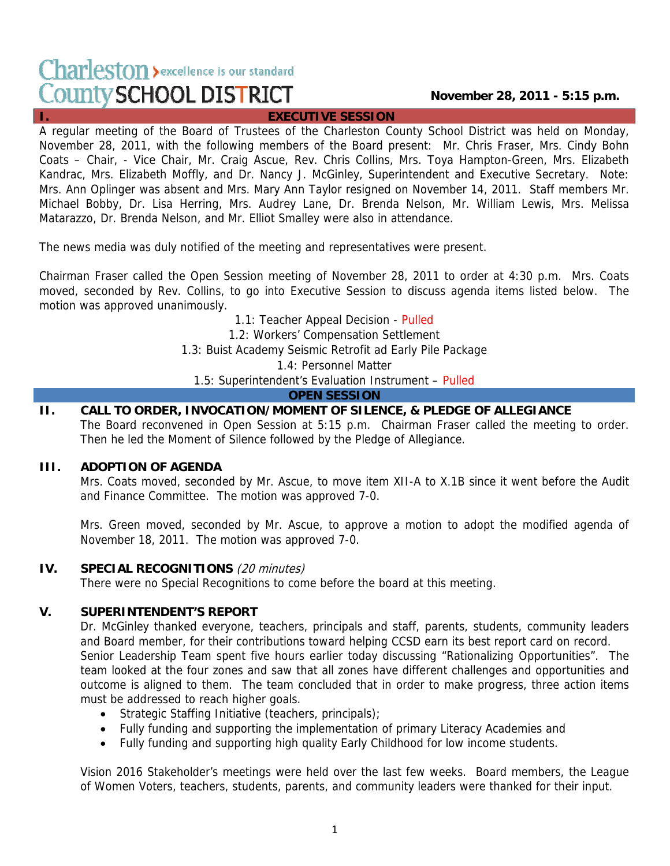# Charleston > excellence is our standard **County SCHOOL DISTRICT**

## **November 28, 2011 - 5:15 p.m.**

## **I. EXECUTIVE SESSION**

A regular meeting of the Board of Trustees of the Charleston County School District was held on Monday, November 28, 2011, with the following members of the Board present: Mr. Chris Fraser, Mrs. Cindy Bohn Coats – Chair, - Vice Chair, Mr. Craig Ascue, Rev. Chris Collins, Mrs. Toya Hampton-Green, Mrs. Elizabeth Kandrac, Mrs. Elizabeth Moffly, and Dr. Nancy J. McGinley, Superintendent and Executive Secretary. Note: Mrs. Ann Oplinger was absent and Mrs. Mary Ann Taylor resigned on November 14, 2011. Staff members Mr. Michael Bobby, Dr. Lisa Herring, Mrs. Audrey Lane, Dr. Brenda Nelson, Mr. William Lewis, Mrs. Melissa Matarazzo, Dr. Brenda Nelson, and Mr. Elliot Smalley were also in attendance.

The news media was duly notified of the meeting and representatives were present.

Chairman Fraser called the Open Session meeting of November 28, 2011 to order at 4:30 p.m. Mrs. Coats moved, seconded by Rev. Collins, to go into Executive Session to discuss agenda items listed below. The motion was approved unanimously.

1.1: Teacher Appeal Decision - Pulled

1.2: Workers' Compensation Settlement

1.3: Buist Academy Seismic Retrofit ad Early Pile Package

1.4: Personnel Matter

1.5: Superintendent's Evaluation Instrument – Pulled

## **OPEN SESSION**

**II. CALL TO ORDER, INVOCATION/MOMENT OF SILENCE, & PLEDGE OF ALLEGIANCE**  The Board reconvened in Open Session at 5:15 p.m. Chairman Fraser called the meeting to order. Then he led the Moment of Silence followed by the Pledge of Allegiance.

## **III. ADOPTION OF AGENDA**

Mrs. Coats moved, seconded by Mr. Ascue, to move item XII-A to X.1B since it went before the Audit and Finance Committee. The motion was approved 7-0.

Mrs. Green moved, seconded by Mr. Ascue, to approve a motion to adopt the modified agenda of November 18, 2011. The motion was approved 7-0.

## **IV. SPECIAL RECOGNITIONS** (20 minutes)

There were no Special Recognitions to come before the board at this meeting.

## **V. SUPERINTENDENT'S REPORT**

Dr. McGinley thanked everyone, teachers, principals and staff, parents, students, community leaders and Board member, for their contributions toward helping CCSD earn its best report card on record. Senior Leadership Team spent five hours earlier today discussing "Rationalizing Opportunities". The team looked at the four zones and saw that all zones have different challenges and opportunities and outcome is aligned to them. The team concluded that in order to make progress, three action items must be addressed to reach higher goals.

- Strategic Staffing Initiative (teachers, principals);
- Fully funding and supporting the implementation of primary Literacy Academies and
- Fully funding and supporting high quality Early Childhood for low income students.

Vision 2016 Stakeholder's meetings were held over the last few weeks. Board members, the League of Women Voters, teachers, students, parents, and community leaders were thanked for their input.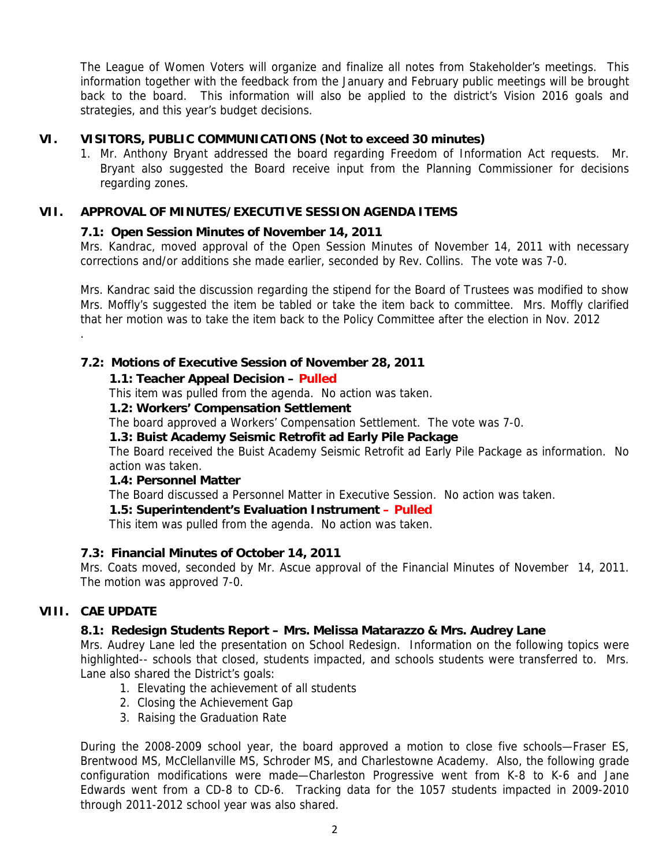The League of Women Voters will organize and finalize all notes from Stakeholder's meetings. This information together with the feedback from the January and February public meetings will be brought back to the board. This information will also be applied to the district's Vision 2016 goals and strategies, and this year's budget decisions.

## **VI. VISITORS, PUBLIC COMMUNICATIONS (Not to exceed 30 minutes)**

1. Mr. Anthony Bryant addressed the board regarding Freedom of Information Act requests. Mr. Bryant also suggested the Board receive input from the Planning Commissioner for decisions regarding zones.

## **VII. APPROVAL OF MINUTES/EXECUTIVE SESSION AGENDA ITEMS**

## **7.1: Open Session Minutes of November 14, 2011**

Mrs. Kandrac, moved approval of the Open Session Minutes of November 14, 2011 with necessary corrections and/or additions she made earlier, seconded by Rev. Collins. The vote was 7-0.

Mrs. Kandrac said the discussion regarding the stipend for the Board of Trustees was modified to show Mrs. Moffly's suggested the item be tabled or take the item back to committee. Mrs. Moffly clarified that her motion was to take the item back to the Policy Committee after the election in Nov. 2012 .

## **7.2: Motions of Executive Session of November 28, 2011**

## **1.1: Teacher Appeal Decision – Pulled**

This item was pulled from the agenda. No action was taken.

### **1.2: Workers' Compensation Settlement**

The board approved a Workers' Compensation Settlement. The vote was 7-0.

## **1.3: Buist Academy Seismic Retrofit ad Early Pile Package**

The Board received the Buist Academy Seismic Retrofit ad Early Pile Package as information. No action was taken.

### **1.4: Personnel Matter**

The Board discussed a Personnel Matter in Executive Session. No action was taken.

## **1.5: Superintendent's Evaluation Instrument – Pulled**

This item was pulled from the agenda. No action was taken.

## **7.3: Financial Minutes of October 14, 2011**

Mrs. Coats moved, seconded by Mr. Ascue approval of the Financial Minutes of November 14, 2011. The motion was approved 7-0.

## **VIII. CAE UPDATE**

## **8.1: Redesign Students Report – Mrs. Melissa Matarazzo & Mrs. Audrey Lane**

Mrs. Audrey Lane led the presentation on School Redesign. Information on the following topics were highlighted-- schools that closed, students impacted, and schools students were transferred to. Mrs. Lane also shared the District's goals:

- 1. Elevating the achievement of all students
- 2. Closing the Achievement Gap
- 3. Raising the Graduation Rate

During the 2008-2009 school year, the board approved a motion to close five schools—Fraser ES, Brentwood MS, McClellanville MS, Schroder MS, and Charlestowne Academy. Also, the following grade configuration modifications were made—Charleston Progressive went from K-8 to K-6 and Jane Edwards went from a CD-8 to CD-6. Tracking data for the 1057 students impacted in 2009-2010 through 2011-2012 school year was also shared.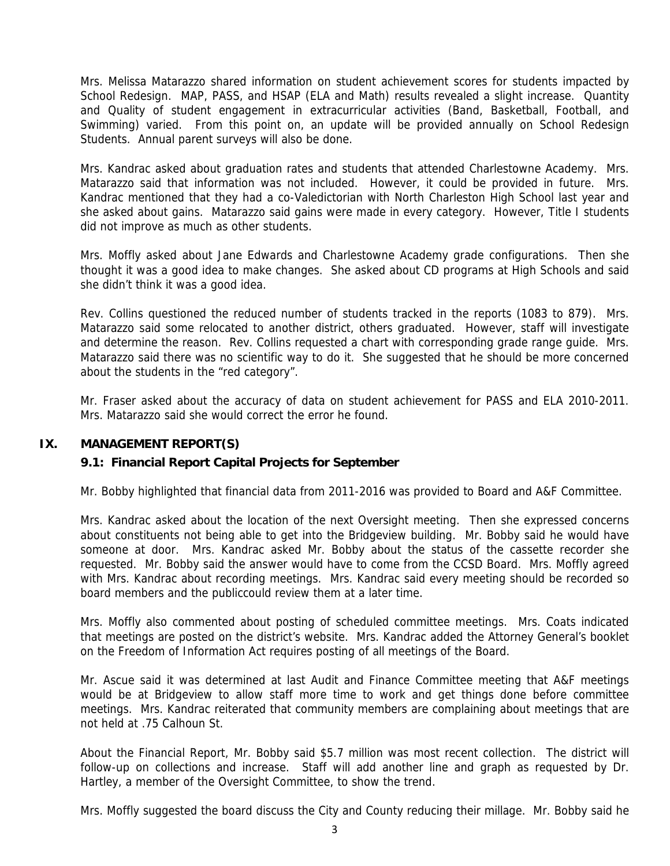Mrs. Melissa Matarazzo shared information on student achievement scores for students impacted by School Redesign. MAP, PASS, and HSAP (ELA and Math) results revealed a slight increase. Quantity and Quality of student engagement in extracurricular activities (Band, Basketball, Football, and Swimming) varied. From this point on, an update will be provided annually on School Redesign Students. Annual parent surveys will also be done.

Mrs. Kandrac asked about graduation rates and students that attended Charlestowne Academy. Mrs. Matarazzo said that information was not included. However, it could be provided in future. Mrs. Kandrac mentioned that they had a co-Valedictorian with North Charleston High School last year and she asked about gains. Matarazzo said gains were made in every category. However, Title I students did not improve as much as other students.

Mrs. Moffly asked about Jane Edwards and Charlestowne Academy grade configurations. Then she thought it was a good idea to make changes. She asked about CD programs at High Schools and said she didn't think it was a good idea.

Rev. Collins questioned the reduced number of students tracked in the reports (1083 to 879). Mrs. Matarazzo said some relocated to another district, others graduated. However, staff will investigate and determine the reason. Rev. Collins requested a chart with corresponding grade range guide. Mrs. Matarazzo said there was no scientific way to do it. She suggested that he should be more concerned about the students in the "red category".

Mr. Fraser asked about the accuracy of data on student achievement for PASS and ELA 2010-2011. Mrs. Matarazzo said she would correct the error he found.

## **IX. MANAGEMENT REPORT(S)**

### **9.1: Financial Report Capital Projects for September**

Mr. Bobby highlighted that financial data from 2011-2016 was provided to Board and A&F Committee.

Mrs. Kandrac asked about the location of the next Oversight meeting. Then she expressed concerns about constituents not being able to get into the Bridgeview building. Mr. Bobby said he would have someone at door. Mrs. Kandrac asked Mr. Bobby about the status of the cassette recorder she requested. Mr. Bobby said the answer would have to come from the CCSD Board. Mrs. Moffly agreed with Mrs. Kandrac about recording meetings. Mrs. Kandrac said every meeting should be recorded so board members and the publiccould review them at a later time.

Mrs. Moffly also commented about posting of scheduled committee meetings. Mrs. Coats indicated that meetings are posted on the district's website. Mrs. Kandrac added the Attorney General's booklet on the Freedom of Information Act requires posting of all meetings of the Board.

Mr. Ascue said it was determined at last Audit and Finance Committee meeting that A&F meetings would be at Bridgeview to allow staff more time to work and get things done before committee meetings. Mrs. Kandrac reiterated that community members are complaining about meetings that are not held at .75 Calhoun St.

About the Financial Report, Mr. Bobby said \$5.7 million was most recent collection. The district will follow-up on collections and increase. Staff will add another line and graph as requested by Dr. Hartley, a member of the Oversight Committee, to show the trend.

Mrs. Moffly suggested the board discuss the City and County reducing their millage. Mr. Bobby said he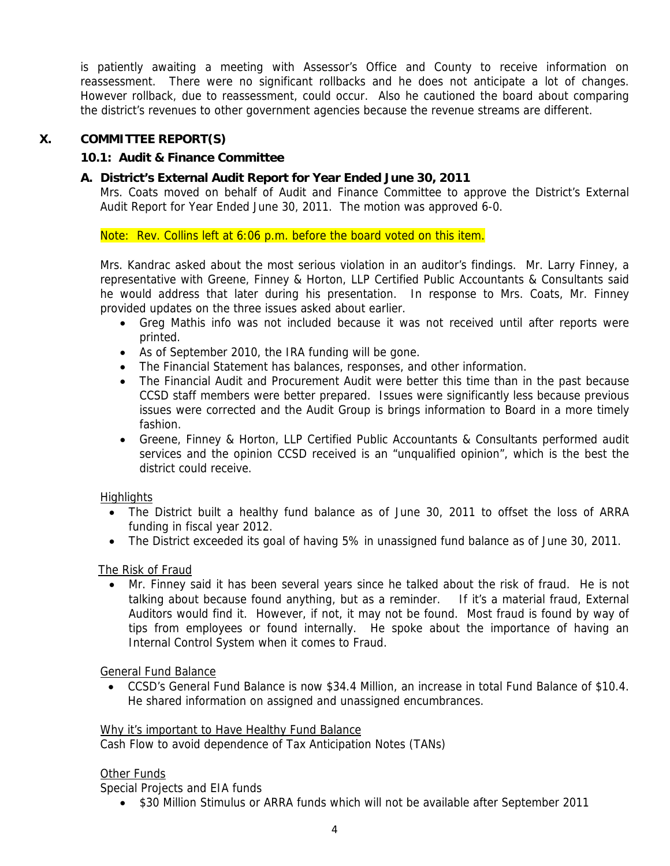is patiently awaiting a meeting with Assessor's Office and County to receive information on reassessment. There were no significant rollbacks and he does not anticipate a lot of changes. However rollback, due to reassessment, could occur. Also he cautioned the board about comparing the district's revenues to other government agencies because the revenue streams are different.

## **X. COMMITTEE REPORT(S)**

## **10.1: Audit & Finance Committee**

## **A. District's External Audit Report for Year Ended June 30, 2011**

Mrs. Coats moved on behalf of Audit and Finance Committee to approve the District's External Audit Report for Year Ended June 30, 2011. The motion was approved 6-0.

Note: Rev. Collins left at 6:06 p.m. before the board voted on this item.

Mrs. Kandrac asked about the most serious violation in an auditor's findings. Mr. Larry Finney, a representative with Greene, Finney & Horton, LLP Certified Public Accountants & Consultants said he would address that later during his presentation. In response to Mrs. Coats, Mr. Finney provided updates on the three issues asked about earlier.

- Greg Mathis info was not included because it was not received until after reports were printed.
- As of September 2010, the IRA funding will be gone.
- The Financial Statement has balances, responses, and other information.
- The Financial Audit and Procurement Audit were better this time than in the past because CCSD staff members were better prepared. Issues were significantly less because previous issues were corrected and the Audit Group is brings information to Board in a more timely fashion.
- Greene, Finney & Horton, LLP Certified Public Accountants & Consultants performed audit services and the opinion CCSD received is an "unqualified opinion", which is the best the district could receive.

## Highlights

- The District built a healthy fund balance as of June 30, 2011 to offset the loss of ARRA funding in fiscal year 2012.
- The District exceeded its goal of having 5% in unassigned fund balance as of June 30, 2011.

## The Risk of Fraud

• Mr. Finney said it has been several years since he talked about the risk of fraud. He is not talking about because found anything, but as a reminder. If it's a material fraud, External Auditors would find it. However, if not, it may not be found. Most fraud is found by way of tips from employees or found internally. He spoke about the importance of having an Internal Control System when it comes to Fraud.

General Fund Balance

• CCSD's General Fund Balance is now \$34.4 Million, an increase in total Fund Balance of \$10.4. He shared information on assigned and unassigned encumbrances.

### Why it's important to Have Healthy Fund Balance

Cash Flow to avoid dependence of Tax Anticipation Notes (TANs)

## Other Funds

Special Projects and EIA funds

• \$30 Million Stimulus or ARRA funds which will not be available after September 2011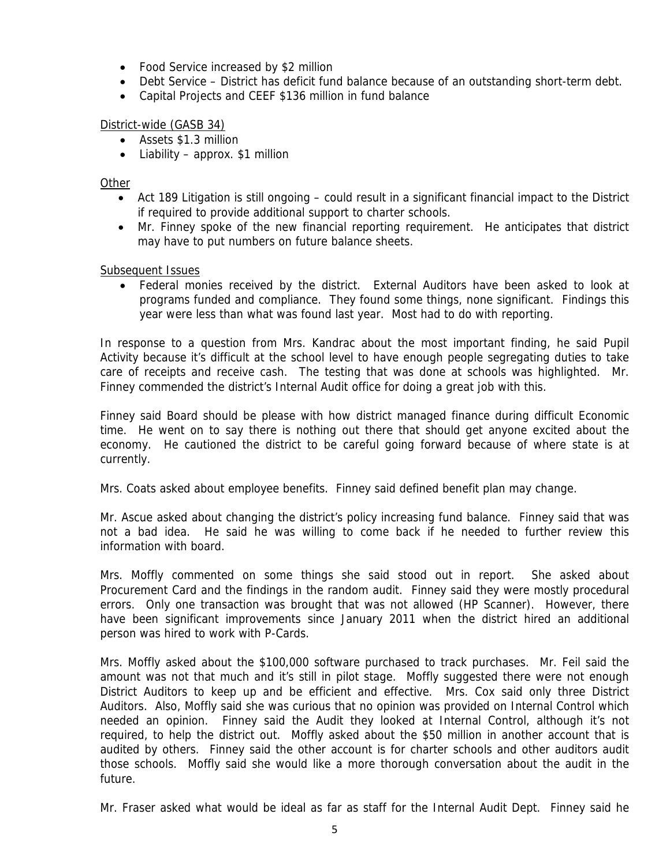- Food Service increased by \$2 million
- Debt Service District has deficit fund balance because of an outstanding short-term debt.
- Capital Projects and CEEF \$136 million in fund balance

## District-wide (GASB 34)

- Assets \$1.3 million
- Liability approx.  $$1$  million

## Other

- Act 189 Litigation is still ongoing could result in a significant financial impact to the District if required to provide additional support to charter schools.
- Mr. Finney spoke of the new financial reporting requirement. He anticipates that district may have to put numbers on future balance sheets.

## Subsequent Issues

• Federal monies received by the district. External Auditors have been asked to look at programs funded and compliance. They found some things, none significant. Findings this year were less than what was found last year. Most had to do with reporting.

In response to a question from Mrs. Kandrac about the most important finding, he said Pupil Activity because it's difficult at the school level to have enough people segregating duties to take care of receipts and receive cash. The testing that was done at schools was highlighted. Mr. Finney commended the district's Internal Audit office for doing a great job with this.

Finney said Board should be please with how district managed finance during difficult Economic time. He went on to say there is nothing out there that should get anyone excited about the economy. He cautioned the district to be careful going forward because of where state is at currently.

Mrs. Coats asked about employee benefits. Finney said defined benefit plan may change.

Mr. Ascue asked about changing the district's policy increasing fund balance. Finney said that was not a bad idea. He said he was willing to come back if he needed to further review this information with board.

Mrs. Moffly commented on some things she said stood out in report. She asked about Procurement Card and the findings in the random audit. Finney said they were mostly procedural errors. Only one transaction was brought that was not allowed (HP Scanner). However, there have been significant improvements since January 2011 when the district hired an additional person was hired to work with P-Cards.

Mrs. Moffly asked about the \$100,000 software purchased to track purchases. Mr. Feil said the amount was not that much and it's still in pilot stage. Moffly suggested there were not enough District Auditors to keep up and be efficient and effective. Mrs. Cox said only three District Auditors. Also, Moffly said she was curious that no opinion was provided on Internal Control which needed an opinion. Finney said the Audit they looked at Internal Control, although it's not required, to help the district out. Moffly asked about the \$50 million in another account that is audited by others. Finney said the other account is for charter schools and other auditors audit those schools. Moffly said she would like a more thorough conversation about the audit in the future.

Mr. Fraser asked what would be ideal as far as staff for the Internal Audit Dept. Finney said he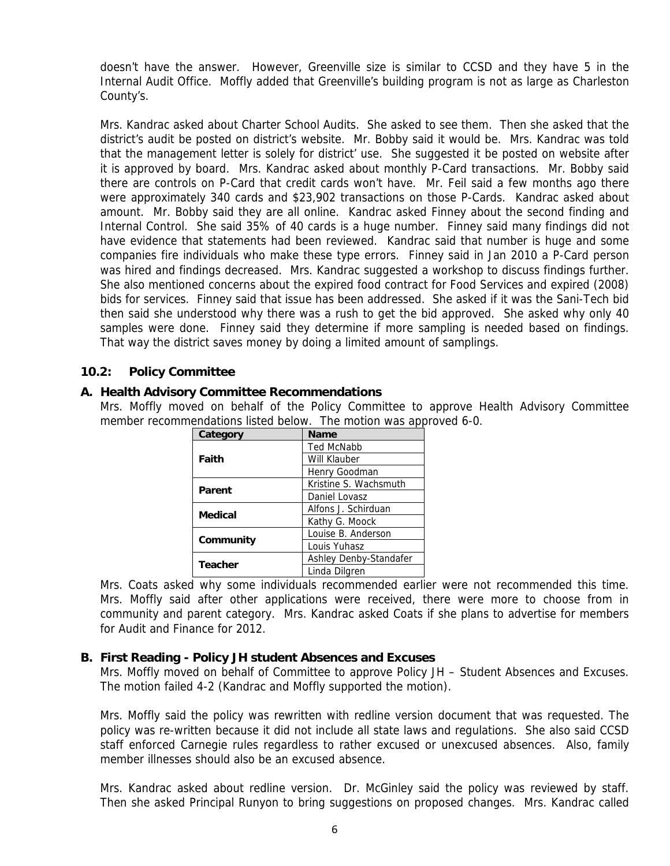doesn't have the answer. However, Greenville size is similar to CCSD and they have 5 in the Internal Audit Office. Moffly added that Greenville's building program is not as large as Charleston County's.

Mrs. Kandrac asked about Charter School Audits. She asked to see them. Then she asked that the district's audit be posted on district's website. Mr. Bobby said it would be. Mrs. Kandrac was told that the management letter is solely for district' use. She suggested it be posted on website after it is approved by board. Mrs. Kandrac asked about monthly P-Card transactions. Mr. Bobby said there are controls on P-Card that credit cards won't have. Mr. Feil said a few months ago there were approximately 340 cards and \$23,902 transactions on those P-Cards. Kandrac asked about amount. Mr. Bobby said they are all online. Kandrac asked Finney about the second finding and Internal Control. She said 35% of 40 cards is a huge number. Finney said many findings did not have evidence that statements had been reviewed. Kandrac said that number is huge and some companies fire individuals who make these type errors. Finney said in Jan 2010 a P-Card person was hired and findings decreased. Mrs. Kandrac suggested a workshop to discuss findings further. She also mentioned concerns about the expired food contract for Food Services and expired (2008) bids for services. Finney said that issue has been addressed. She asked if it was the Sani-Tech bid then said she understood why there was a rush to get the bid approved. She asked why only 40 samples were done. Finney said they determine if more sampling is needed based on findings. That way the district saves money by doing a limited amount of samplings.

## **10.2: Policy Committee**

### **A. Health Advisory Committee Recommendations**

Mrs. Moffly moved on behalf of the Policy Committee to approve Health Advisory Committee member recommendations listed below. The motion was approved 6-0.

| Category       | <b>Name</b>            |
|----------------|------------------------|
| Faith          | <b>Ted McNabb</b>      |
|                | Will Klauber           |
|                | Henry Goodman          |
| Parent         | Kristine S. Wachsmuth  |
|                | Daniel Lovasz          |
| Medical        | Alfons J. Schirduan    |
|                | Kathy G. Moock         |
| Community      | Louise B. Anderson     |
|                | Louis Yuhasz           |
| <b>Teacher</b> | Ashley Denby-Standafer |
|                | Linda Dilgren          |

Mrs. Coats asked why some individuals recommended earlier were not recommended this time. Mrs. Moffly said after other applications were received, there were more to choose from in community and parent category. Mrs. Kandrac asked Coats if she plans to advertise for members for Audit and Finance for 2012.

### **B. First Reading - Policy JH student Absences and Excuses**

Mrs. Moffly moved on behalf of Committee to approve Policy JH – Student Absences and Excuses. The motion failed 4-2 (Kandrac and Moffly supported the motion).

Mrs. Moffly said the policy was rewritten with redline version document that was requested. The policy was re-written because it did not include all state laws and regulations. She also said CCSD staff enforced Carnegie rules regardless to rather excused or unexcused absences. Also, family member illnesses should also be an excused absence.

Mrs. Kandrac asked about redline version. Dr. McGinley said the policy was reviewed by staff. Then she asked Principal Runyon to bring suggestions on proposed changes. Mrs. Kandrac called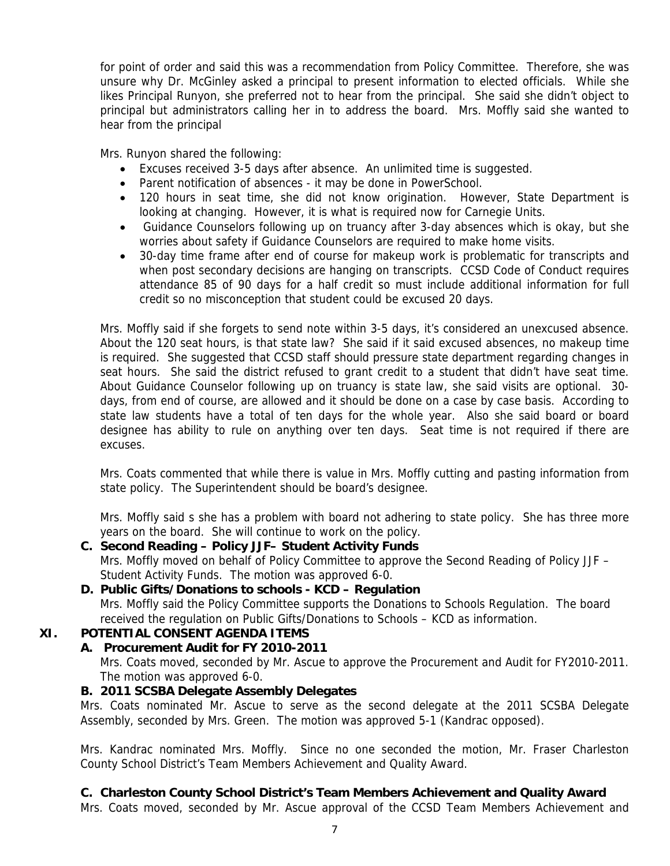for point of order and said this was a recommendation from Policy Committee. Therefore, she was unsure why Dr. McGinley asked a principal to present information to elected officials. While she likes Principal Runyon, she preferred not to hear from the principal. She said she didn't object to principal but administrators calling her in to address the board. Mrs. Moffly said she wanted to hear from the principal

Mrs. Runyon shared the following:

- Excuses received 3-5 days after absence. An unlimited time is suggested.
- Parent notification of absences it may be done in PowerSchool.
- 120 hours in seat time, she did not know origination. However, State Department is looking at changing. However, it is what is required now for Carnegie Units.
- Guidance Counselors following up on truancy after 3-day absences which is okay, but she worries about safety if Guidance Counselors are required to make home visits.
- 30-day time frame after end of course for makeup work is problematic for transcripts and when post secondary decisions are hanging on transcripts. CCSD Code of Conduct requires attendance 85 of 90 days for a half credit so must include additional information for full credit so no misconception that student could be excused 20 days.

Mrs. Moffly said if she forgets to send note within 3-5 days, it's considered an unexcused absence. About the 120 seat hours, is that state law? She said if it said excused absences, no makeup time is required. She suggested that CCSD staff should pressure state department regarding changes in seat hours. She said the district refused to grant credit to a student that didn't have seat time. About Guidance Counselor following up on truancy is state law, she said visits are optional. 30 days, from end of course, are allowed and it should be done on a case by case basis. According to state law students have a total of ten days for the whole year. Also she said board or board designee has ability to rule on anything over ten days. Seat time is not required if there are excuses.

Mrs. Coats commented that while there is value in Mrs. Moffly cutting and pasting information from state policy. The Superintendent should be board's designee.

Mrs. Moffly said s she has a problem with board not adhering to state policy. She has three more years on the board. She will continue to work on the policy.

 **C. Second Reading – Policy JJF– Student Activity Funds**  Mrs. Moffly moved on behalf of Policy Committee to approve the Second Reading of Policy JJF – Student Activity Funds. The motion was approved 6-0.

## **D. Public Gifts/Donations to schools - KCD – Regulation**

Mrs. Moffly said the Policy Committee supports the Donations to Schools Regulation. The board received the regulation on Public Gifts/Donations to Schools – KCD as information.

## **XI. POTENTIAL CONSENT AGENDA ITEMS**

## **A. Procurement Audit for FY 2010-2011**

Mrs. Coats moved, seconded by Mr. Ascue to approve the Procurement and Audit for FY2010-2011. The motion was approved 6-0.

## **B. 2011 SCSBA Delegate Assembly Delegates**

Mrs. Coats nominated Mr. Ascue to serve as the second delegate at the 2011 SCSBA Delegate Assembly, seconded by Mrs. Green. The motion was approved 5-1 (Kandrac opposed).

Mrs. Kandrac nominated Mrs. Moffly. Since no one seconded the motion, Mr. Fraser Charleston County School District's Team Members Achievement and Quality Award.

## **C. Charleston County School District's Team Members Achievement and Quality Award**

Mrs. Coats moved, seconded by Mr. Ascue approval of the CCSD Team Members Achievement and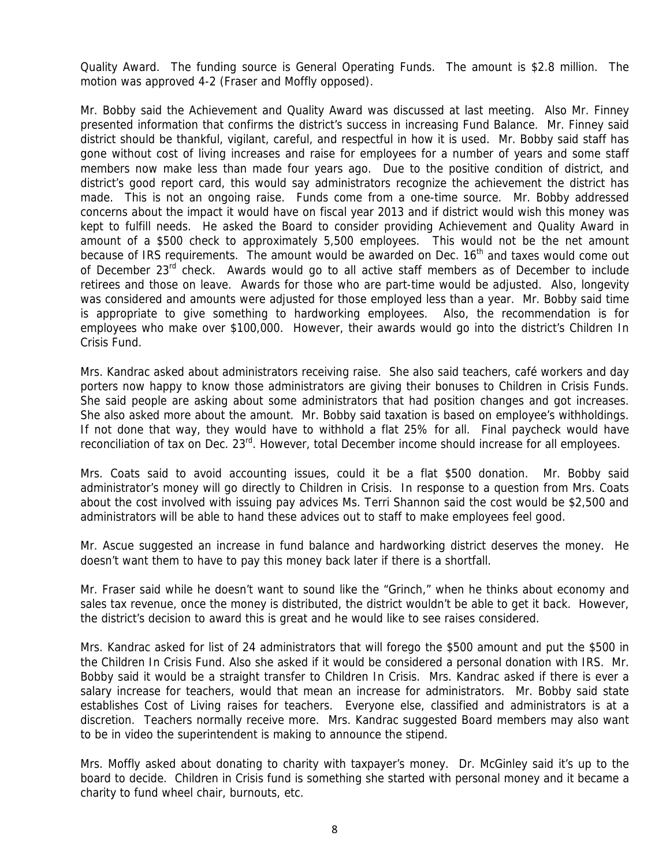Quality Award. The funding source is General Operating Funds. The amount is \$2.8 million. The motion was approved 4-2 (Fraser and Moffly opposed).

Mr. Bobby said the Achievement and Quality Award was discussed at last meeting. Also Mr. Finney presented information that confirms the district's success in increasing Fund Balance. Mr. Finney said district should be thankful, vigilant, careful, and respectful in how it is used. Mr. Bobby said staff has gone without cost of living increases and raise for employees for a number of years and some staff members now make less than made four years ago. Due to the positive condition of district, and district's good report card, this would say administrators recognize the achievement the district has made. This is not an ongoing raise. Funds come from a one-time source. Mr. Bobby addressed concerns about the impact it would have on fiscal year 2013 and if district would wish this money was kept to fulfill needs. He asked the Board to consider providing Achievement and Quality Award in amount of a \$500 check to approximately 5,500 employees. This would not be the net amount because of IRS requirements. The amount would be awarded on Dec. 16<sup>th</sup> and taxes would come out of December 23<sup>rd</sup> check. Awards would go to all active staff members as of December to include retirees and those on leave. Awards for those who are part-time would be adjusted. Also, longevity was considered and amounts were adjusted for those employed less than a year. Mr. Bobby said time is appropriate to give something to hardworking employees. Also, the recommendation is for employees who make over \$100,000. However, their awards would go into the district's Children In Crisis Fund.

Mrs. Kandrac asked about administrators receiving raise. She also said teachers, café workers and day porters now happy to know those administrators are giving their bonuses to Children in Crisis Funds. She said people are asking about some administrators that had position changes and got increases. She also asked more about the amount. Mr. Bobby said taxation is based on employee's withholdings. If not done that way, they would have to withhold a flat 25% for all. Final paycheck would have reconciliation of tax on Dec. 23<sup>rd</sup>. However, total December income should increase for all employees.

Mrs. Coats said to avoid accounting issues, could it be a flat \$500 donation. Mr. Bobby said administrator's money will go directly to Children in Crisis. In response to a question from Mrs. Coats about the cost involved with issuing pay advices Ms. Terri Shannon said the cost would be \$2,500 and administrators will be able to hand these advices out to staff to make employees feel good.

Mr. Ascue suggested an increase in fund balance and hardworking district deserves the money. He doesn't want them to have to pay this money back later if there is a shortfall.

Mr. Fraser said while he doesn't want to sound like the "Grinch," when he thinks about economy and sales tax revenue, once the money is distributed, the district wouldn't be able to get it back. However, the district's decision to award this is great and he would like to see raises considered.

Mrs. Kandrac asked for list of 24 administrators that will forego the \$500 amount and put the \$500 in the Children In Crisis Fund. Also she asked if it would be considered a personal donation with IRS. Mr. Bobby said it would be a straight transfer to Children In Crisis. Mrs. Kandrac asked if there is ever a salary increase for teachers, would that mean an increase for administrators. Mr. Bobby said state establishes Cost of Living raises for teachers. Everyone else, classified and administrators is at a discretion. Teachers normally receive more. Mrs. Kandrac suggested Board members may also want to be in video the superintendent is making to announce the stipend.

Mrs. Moffly asked about donating to charity with taxpayer's money. Dr. McGinley said it's up to the board to decide. Children in Crisis fund is something she started with personal money and it became a charity to fund wheel chair, burnouts, etc.